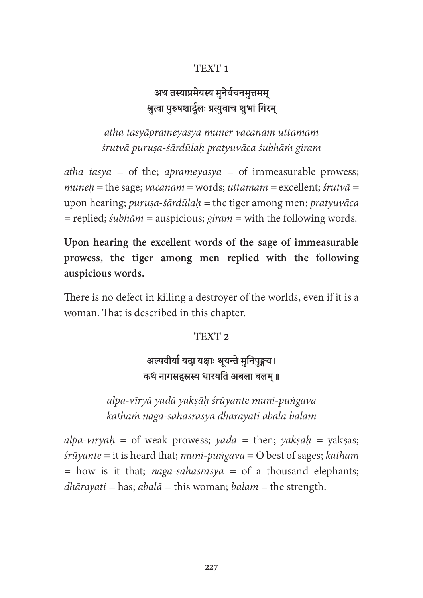### TEXT<sub>1</sub>

# अथ तस्याप्रमेयस्य मुनेर्वचनमुत्तमम् श्रुत्वा पुरुषशार्दुलः प्रत्युवाच शुभां गिरम्

atha tasyāprameyasya muner vacanam uttamam śrutvā puruṣa-śārdūlaḥ pratyuvāca śubhāṁ giram

atha tasya = of the; aprameyasya = of immeasurable prowess;  $muneh$  = the sage; vacanam = words; uttamam = excellent; śrutv $\bar{a}$  = upon hearing; *puruṣa-śārdūlaḥ* = the tiger among men; *pratyuvāca*  $=$  replied; *subhām*  $=$  auspicious; *giram*  $=$  with the following words.

Upon hearing the excellent words of the sage of immeasurable prowess, the tiger among men replied with the following auspicious words.

There is no defect in killing a destroyer of the worlds, even if it is a woman. That is described in this chapter.

#### TEXT<sub>2</sub>

## अल्पवीर्या यदा यक्षाः श्रूयन्ते मुनिपुङ्गव। कथं नागसहस्रस्य धारयति अबला बलम॥

alpa-vīryā yadā yakṣāḥ śrūyante muni-puṅgava kathaṁ nāga-sahasrasya dhārayati abalā balam

alpa-vīryāh = of weak prowess; yadā = then; yakṣāḥ = yakṣas;  $s$ rūyante = it is heard that; muni-puṅgava = O best of sages; katham = how is it that; *nāga-sahasrasya* = of a thousand elephants;  $dh\bar{a}ray\bar{a}t =$  has;  $abal\bar{a}$  = this woman;  $balam$  = the strength.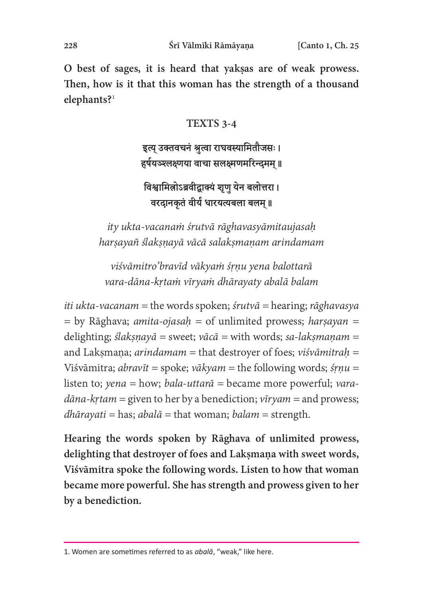O best of sages, it is heard that yakṣas are of weak prowess. Then, how is it that this woman has the strength of a thousand elephants?<sup>1</sup>

#### TEXTS 3-4

### इत्यु उक्तवचनं श्रुत्वा राघवस्यामितौजसः। हर्षयञ्श्लक्ष्णया वाचा सलक्ष्मणमरिन्दमम् ॥

## विश्वामिलोऽब्रवीद्वाक्यं शृणु येन बलोत्तरा। वरदानकृतं वीर्यं धारयत्यबला बलम् ॥

ity ukta-vacanaṁ śrutvā rāghavasyāmitaujasaḥ harṣayañ ślakṣṇayā vācā salakṣmaṇam arindamam

viśvāmitro'bravīd vākyaṁ śṛṇu yena balottarā vara-dāna-kṛtaṁ vīryaṁ dhārayaty abalā balam

*iti ukta-vacanam* = the words spoken; *śrutvā* = hearing; *rāghavasya*  $=$  by Rāghava; *amita-ojasah*  $=$  of unlimited prowess; *harsayan*  $=$ delighting; *ślaksnayā* = sweet; *vācā* = with words; *sa-laksmanam* = and Laksmana; arindamam = that destroyer of foes; viśvāmitrah = Viśvāmitra; *abravīt* = spoke; *vākyam* = the following words; *śrnu* = listen to; yena = how; bala-uttar $\bar{a}$  = became more powerful; vara $d\bar{a}na-krtam =$  given to her by a benediction;  $\bar{v}irvam =$  and prowess;  $dh\bar{a}ray\bar{a}t =$  has;  $abal\bar{a}$  = that woman;  $balam$  = strength.

Hearing the words spoken by Rāghava of unlimited prowess, delighting that destroyer of foes and Laksmana with sweet words, Viśvāmitra spoke the following words. Listen to how that woman became more powerful. She has strength and prowess given to her by a benediction.

<sup>1.</sup> Women are sometimes referred to as abala, "weak," like here.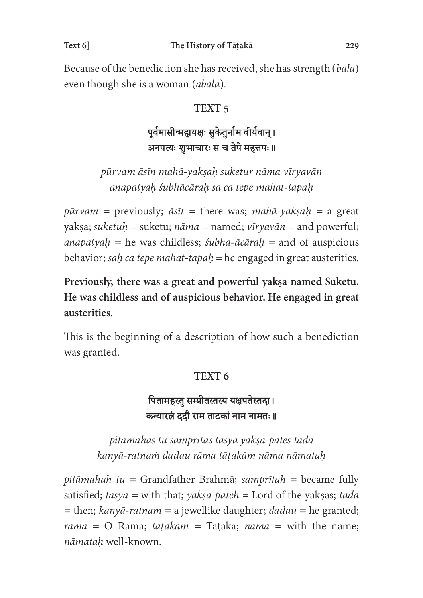Because of the benediction she has received, she has strength (bala) even though she is a woman (abalā).

### TEXT<sub>5</sub>

## पूर्वमासीन्महायक्षः सुकेतुर्नाम वीर्यवान् । अनपत्यः शुभाचारः स च तेपे महत्तपः ॥

pūrvam āsīn mahā-yakṣaḥ suketur nāma vīryavān anapatyaḥ śubhācāraḥ sa ca tepe mahat-tapaḥ

 $p\bar{u}r\bar{v}$  = previously;  $\bar{a}s\bar{t}$  = there was; mahā-yakṣaḥ = a great yakṣa; suketuh = suketu; nāma = named; vīryavān = and powerful; anapatyah = he was childless; *śubha-ācāraḥ* = and of auspicious behavior; sah ca tepe mahat-tapah = he engaged in great austerities.

Previously, there was a great and powerful yakṣa named Suketu. He was childless and of auspicious behavior. He engaged in great austerities.

This is the beginning of a description of how such a benediction was granted.

### TEXT<sub>6</sub>

पितामहस्तु सम्प्रीतस्तस्य यक्षपतेस्तदा। कन्यारत्नं ददौ राम ताटकां नाम नामतः ॥

pitāmahas tu samprītas tasya yakṣa-pates tadā kanyā-ratnaṁ dadau rāma tāṭakāṁ nāma nāmataḥ

pitāmahaḥ tu = Grandfather Brahmā; samprītah = became fully satisfied; tasya = with that; yakṣa-pateh = Lord of the yakṣas; tadā  $=$  then; kanyā-ratnam  $=$  a jewellike daughter; dadau  $=$  he granted;  $r\bar{a}$ ma = O Rāma; tāṭakām = Tāṭakā; nāma = with the name; nāmataḥ well-known.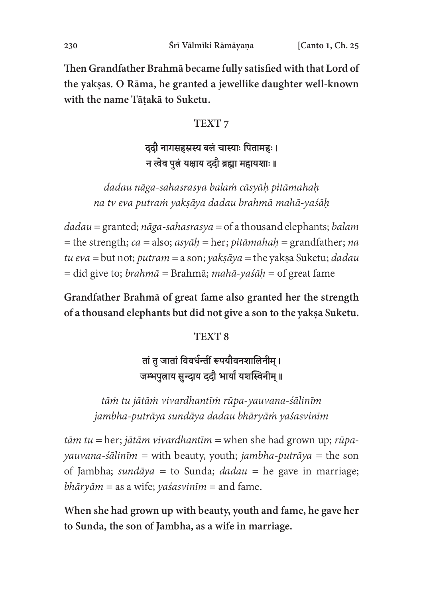Then Grandfather Brahmā became fully satisfied with that Lord of the yakṣas. O Rāma, he granted a jewellike daughter well-known with the name Tāṭakā to Suketu.

#### TEXT<sub>7</sub>

# ददौ नागसहस्रस्य बलं चास्याः पितामहः। न त्वेव पुत्नं यक्षाय दुदौ ब्रह्मा महायशाः ॥

dadau nāga-sahasrasya balaṁ cāsyāḥ pitāmahaḥ na tv eva putraṁ yakṣāya dadau brahmā mahā-yaśāḥ

 $da dau =$ granted; nāga-sahasrasya = of a thousand elephants; balam = the strength;  $ca = also$ ;  $asy\bar{a}h$  = her; pitāmahaḥ = grandfather; na tu eva = but not; putram = a son; yakṣāya = the yakṣa Suketu; dadau = did give to; *brahmā* = Brahmā; *mahā-yaśāḥ* = of great fame

Grandfather Brahmā of great fame also granted her the strength of a thousand elephants but did not give a son to the yakṣa Suketu.

### TEXT<sub>8</sub>

# तां तु जातां विवर्धन्तीं रूपयौवनशालिनीम् । जम्भपत्नाय सन्दाय ददौ भार्यां यशस्विनीम ॥

tāṁ tu jātāṁ vivardhantīṁ rūpa-yauvana-śālinīm jambha-putrāya sundāya dadau bhāryāṁ yaśasvinīm

 $t\bar{a}m$  tu = her; jātām vivardhantīm = when she had grown up; rūpa $yauvana-sālin\bar{m} =$  with beauty, youth; jambha-putrāya = the son of Jambha; sundāya = to Sunda; dadau = he gave in marriage;  $bh\bar{a}ry\bar{a}m =$  as a wife; yaśasvin $\bar{a}m =$  and fame.

When she had grown up with beauty, youth and fame, he gave her to Sunda, the son of Jambha, as a wife in marriage.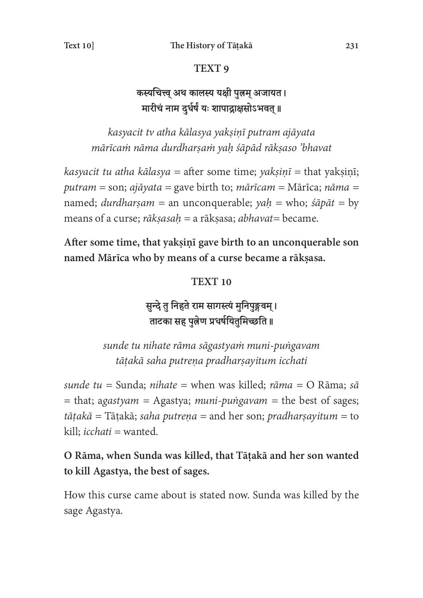#### TEXT<sub>9</sub>

## कस्यचित्त्व अथ कालस्य यक्षी पुत्नम् अजायत। मारीचं नाम दुर्धर्षं यः शापाद्राक्षसोऽभवत् ॥

kasyacit tv atha kālasya yakṣiṇī putram ajāyata mārīcaṁ nāma durdharṣaṁ yaḥ śāpād rākṣaso 'bhavat

kasyacit tu atha kālasya = after some time; yakṣiṇī = that yakṣiṇī; putram = son; ajāyata = gave birth to; mārīcam = Mārīca; nāma = named; *durdharṣam* = an unconquerable; *yaḥ* = who; *śāpāt* = by means of a curse; rāksasah = a rāksasa; abhavat= became.

After some time, that yakṣiṇī gave birth to an unconquerable son named Mārīca who by means of a curse became a rākṣasa.

#### **TEXT 10**

सुन्दे तु निहते राम सागस्त्यं मुनिपुङ्गवम् । ताटका सह पुत्नेण प्रधर्षयितुमिच्छति ॥

sunde tu nihate rāma sāgastyaṁ muni-puṅgavam tātakā saha putrena pradharsayitum icchati

sunde tu = Sunda; nihate = when was killed; rāma = O Rāma; sā  $=$  that; agastyam = Agastya; muni-puṅgavam = the best of sages;  $t\bar{a}$ takā = Tāṭakā; saha putreņa = and her son; pradharṣayitum = to kill; *icchati* = wanted.

### O Rāma, when Sunda was killed, that Tāṭakā and her son wanted to kill Agastya, the best of sages.

How this curse came about is stated now. Sunda was killed by the sage Agastya.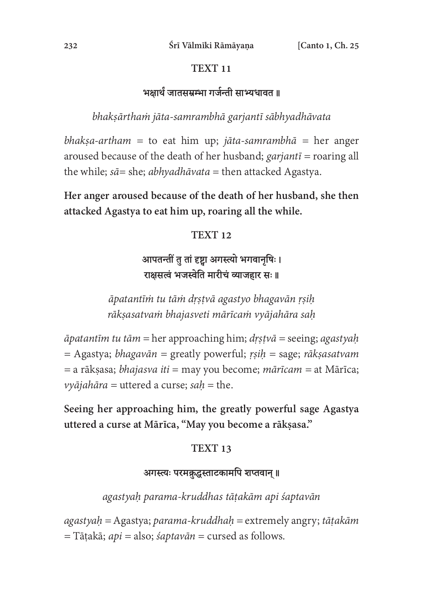#### **TEXT 11**

### भक्षार्थं जातसम्रम्भा गर्जन्ती साभ्यधावत ॥

bhakṣārthaṁ jāta-samrambhā garjantī sābhyadhāvata

bhakṣa-artham = to eat him up; jāta-samrambhā = her anger aroused because of the death of her husband;  $\gamma$  garjant $\bar{i}$  = roaring all the while;  $s\bar{a}$  = she; *abhyadhāvata* = then attacked Agastya.

Her anger aroused because of the death of her husband, she then attacked Agastya to eat him up, roaring all the while.

#### **TEXT 12**

## आपतन्तीं त तां दृष्टा अगस्त्यो भगवानषिः । राक्षसत्वं भजस्वेति मारीचं व्याजहार सः ॥

āpatantīṁ tu tāṁ dṛṣṭvā agastyo bhagavān ṛṣiḥ rākṣasatvaṁ bhajasveti mārīcaṁ vyājahāra saḥ

 $\bar{a}$ patantīm tu tām = her approaching him;  $\frac{dy}{dx} =$  seeing; agastyaḥ  $=$  Agastya; *bhagavān*  $=$  greatly powerful; *rṣiḥ*  $=$  sage; *rākṣasatvam*  $=$ a rāksasa; *bhajasva iti* = may you become; *mārīcam* = at Mārīca;  $v\nu\bar{\nu}$ ajahāra = uttered a curse; sah = the.

Seeing her approaching him, the greatly powerful sage Agastya uttered a curse at Mārīca, "May you become a rākṣasa."

### **TEXT 13**

#### अगस्त्यः परमक्रद्धस्ताटकामपि शप्तवान् ॥

agastyaḥ parama-kruddhas tāṭakām api śaptavān

 $a$ gastya $h =$ Agastya; parama-kruddha $h =$ extremely angry; tāṭakām  $=$  Tāṭakā; *api* = also; *śaptavān* = cursed as follows.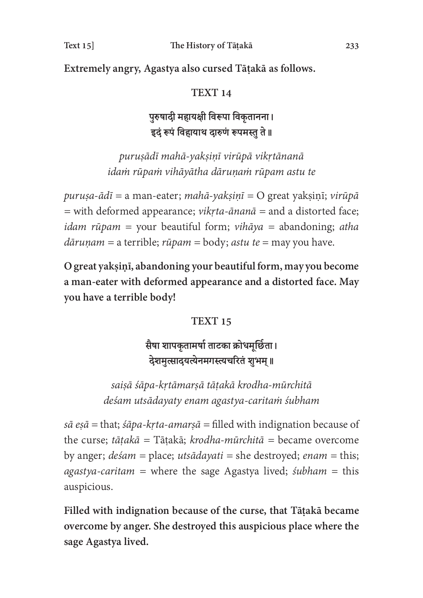Extremely angry, Agastya also cursed Tāṭakā as follows.

#### **TEXT 14**

## पुरुषादी महायक्षी विरूपा विकृतानना। इदं रूपं विहायाथ दारुणं रूपमस्तु ते ॥

puruṣādī mahā-yakṣiṇī virūpā vikṛtānanā idaṁ rūpaṁ vihāyātha dāruṇaṁ rūpam astu te

puruṣa-ādī = a man-eater; mahā-yakṣiṇī = O great yakṣiṇī; virūpā  $=$  with deformed appearance; *vikṛta-ānanā*  $=$  and a distorted face; *idam rūpam* = your beautiful form; *vihāya* = abandoning; *atha*  $d\bar{a}ruņam = a$  terrible;  $riipam = body$ ;  $astu$  te = may you have.

O great yakṣiṇī, abandoning your beautiful form, may you become a man-eater with deformed appearance and a distorted face. May you have a terrible body!

#### **TEXT 15**

# सैषा शापकृतामर्षा ताटका क्रोधमूर्छिता। देशमत्सादयत्येनमगस्त्यचरितं शभम॥

saiṣā śāpa-kṛtāmarṣā tāṭakā krodha-mūrchitā deśam utsādayaty enam agastya-caritaṁ śubham

 $s\bar{a} e s\bar{a}$  = that;  $\dot{s} \bar{a} p a$ - $k r t a$ -amars $\bar{a}$  = filled with indignation because of the curse; tātakā = Tātakā; krodha-mūrchitā = became overcome by anger;  $de\sin =$  place; utsādayati = she destroyed; enam = this;  $a$ gastya-caritam = where the sage Agastya lived; *śubham* = this auspicious.

Filled with indignation because of the curse, that Tāṭakā became overcome by anger. She destroyed this auspicious place where the sage Agastya lived.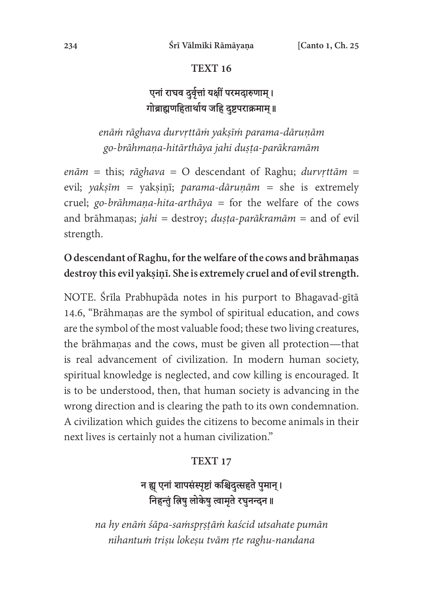#### **TEXT 16**

# एनां राघव दुर्वृत्तां यक्षीं परमदारुणाम् । गोब्राह्यणहितार्थाय जहि दुष्टपराक्रमाम् ॥

enāṁ rāghava durvṛttāṁ yakṣīṁ parama-dāruṇām go-brāhmaṇa-hitārthāya jahi duṣṭa-parākramām

enām = this; rāghava = O descendant of Raghu; durvrttām = evil; yakṣīm = yakṣiṇī; parama-dāruṇām = she is extremely cruel; go-brāhmaṇa-hita-arthāya = for the welfare of the cows and brāhmaṇas; jahi = destroy; duṣṭa-parākramām = and of evil strength.

### O descendant of Raghu, for the welfare of the cows and brāhmaṇas destroy this evil yakṣiṇī. She is extremely cruel and of evil strength.

NOTE. Śrīla Prabhupāda notes in his purport to Bhagavad-gītā 14.6, "Brāhmaṇas are the symbol of spiritual education, and cows are the symbol of the most valuable food; these two living creatures, the brāhmaṇas and the cows, must be given all protection—that is real advancement of civilization. In modern human society, spiritual knowledge is neglected, and cow killing is encouraged. It is to be understood, then, that human society is advancing in the wrong direction and is clearing the path to its own condemnation. A civilization which guides the citizens to become animals in their next lives is certainly not a human civilization."

#### **TEXT 17**

# न ह्यू एनां शापसंस्पृष्टां कश्चिदुत्सहते पुमान् । तिहन्तुं त्रिषु लोकेषु त्वामृते रघुनन्दन ॥

na hy enāṁ śāpa-saṁspṛṣṭāṁ kaścid utsahate pumān nihantum trisu lokesu tvām rte raghu-nandana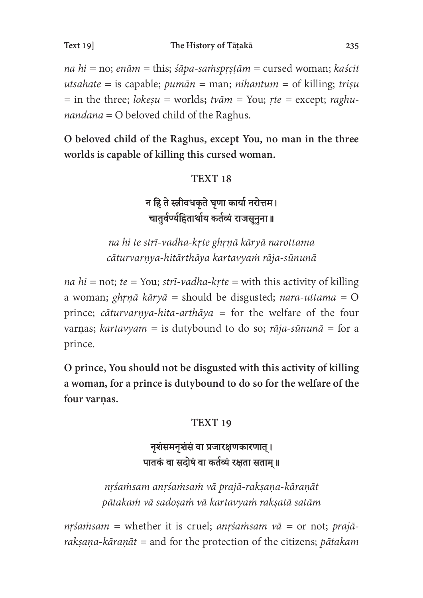na  $hi = no$ ; enām = this; śāpa-samsprṣṭām = cursed woman; kaścit utsahate = is capable;  $pum\bar{a}n = man$ ;  $nihantum = of killing$ ; trișu = in the three; *lokesu* = worlds; *tvām* = You; *rte* = except; *raghu* $nandana = O$  beloved child of the Raghus.

O beloved child of the Raghus, except You, no man in the three worlds is capable of killing this cursed woman.

### **TEXT 18**

न हि ते स्त्रीवधकृते घृणा कार्या नरोत्तम। चातुर्वर्ण्यहितार्थाय कर्तव्यं राजसूनुना ॥

na hi te strī-vadha-kṛte ghṛṇā kāryā narottama cāturvarṇya-hitārthāya kartavyaṁ rāja-sūnunā

na hi = not; te = You; strī-vadha-kṛte = with this activity of killing a woman; ghṛṇā kāryā = should be disgusted; nara-uttama = O prince; cāturvarṇya-hita-arthāya = for the welfare of the four varnas; kartavyam = is dutybound to do so; rāja-sūnunā = for a prince.

O prince, You should not be disgusted with this activity of killing a woman, for a prince is dutybound to do so for the welfare of the four varnas.

### **TEXT 19**

### नृशंसमनृशंसं वा प्रजारक्षणकारणात् । पातकं वा सदोषं वा कर्तव्यं रक्षता सताम् ॥

nṛśaṁsam anṛśaṁsaṁ vā prajā-rakṣaṇa-kāraṇāt pātakaṁ vā sadoṣaṁ vā kartavyaṁ rakṣatā satām

 $nr\sin\sin\theta$  = whether it is cruel; anrsam  $v\bar{a}$  = or not; prajārakṣaṇa-kāraṇāt = and for the protection of the citizens; pātakam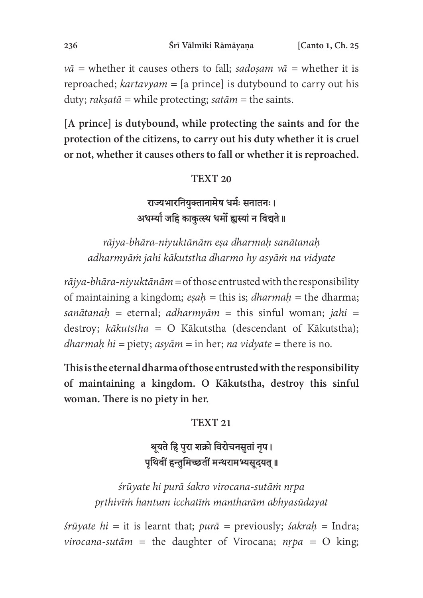$v\bar{a}$  = whether it causes others to fall; sadoṣam  $v\bar{a}$  = whether it is reproached;  $k$ artavyam = [a prince] is dutybound to carry out his duty; *rakṣatā* = while protecting; *satām* = the saints.

[A prince] is dutybound, while protecting the saints and for the protection of the citizens, to carry out his duty whether it is cruel or not, whether it causes others to fall or whether it is reproached.

#### **TEXT 20**

राज्यभारनियुक्तानामेष धर्मः सनातनः । अधर्म्यां जहि काकुत्स्थ धर्मो ह्यस्यां न विद्यते ॥

rājya-bhāra-niyuktānām eṣa dharmaḥ sanātanaḥ adharmyāṁ jahi kākutstha dharmo hy asyāṁ na vidyate

 $r\bar{a}$ jya-bhāra-niyuktānām = of those entrusted with the responsibility of maintaining a kingdom;  $e \sinh \theta = \sinh \theta$  = the dharma; sanātanah = eternal; adharmyām = this sinful woman; jahi = destroy;  $k\bar{a}kutstha = O$  Kākutstha (descendant of Kākutstha); dharmaḥ hi = piety;  $asy\bar{a}m = \text{in her}$ ; na vidyate = there is no.

This is the eternal dharma of those entrusted with the responsibility of maintaining a kingdom. O Kākutstha, destroy this sinful woman. There is no piety in her.

#### **TEXT 21**

### श्रूयते हि पुरा शक्रो विरोचनसुतां नृप। पृथिवीं हन्तुमिच्छतीं मन्थरामभ्यसुदयत् ॥

śrūyate hi purā śakro virocana-sutāṁ nṛpa pṛthivīṁ hantum icchatīṁ mantharām abhyasūdayat

 $\delta r \bar{u}$  yate hi = it is learnt that; pur $\bar{a}$  = previously;  $\delta \alpha k$ rah = Indra; virocana-sutām = the daughter of Virocana;  $nrpa = O$  king;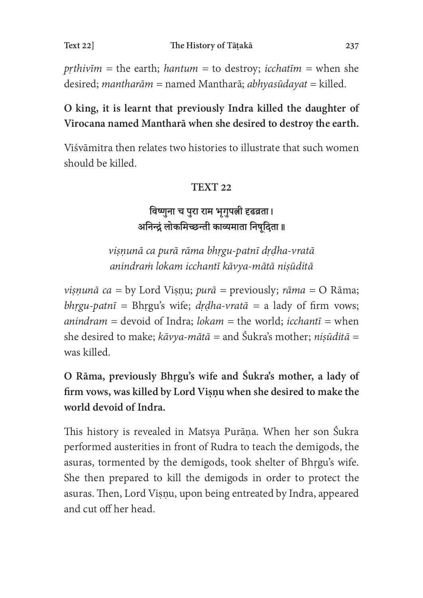prthivīm = the earth; hantum = to destroy; icchatīm = when she desired; mantharām = named Mantharā; abhyasūdayat = killed.

## O king, it is learnt that previously Indra killed the daughter of Virocana named Mantharā when she desired to destroy the earth.

Viśvāmitra then relates two histories to illustrate that such women should be killed.

### **TEXT 22**

# विष्णुना च पुरा राम भृगुपत्नी दृढव्रता। अनिन्द्रं लोकमिच्छन्ती काव्यमाता निषुदिता ॥

viṣṇunā ca purā rāma bhṛgu-patnī dṛḍha-vratā anindraṁ lokam icchantī kāvya-mātā niṣūditā

*viṣṇunā ca* = by Lord Viṣṇu; *purā* = previously; *rāma* = O Rāma; bhrgu-patnī = Bhrgu's wife; drdha-vratā = a lady of firm vows; anindram = devoid of Indra; lokam = the world; icchant $\overline{i}$  = when she desired to make;  $k\bar{a}vya-m\bar{a}t\bar{a}$  = and Śukra's mother; niṣūditā = was killed.

O Rāma, previously Bhṛgu's wife and Śukra's mother, a lady of firm vows, was killed by Lord Visnu when she desired to make the world devoid of Indra.

This history is revealed in Matsya Purāṇa. When her son Śukra performed austerities in front of Rudra to teach the demigods, the asuras, tormented by the demigods, took shelter of Bhrgu's wife. She then prepared to kill the demigods in order to protect the asuras. Then, Lord Viṣṇu, upon being entreated by Indra, appeared and cut off her head.